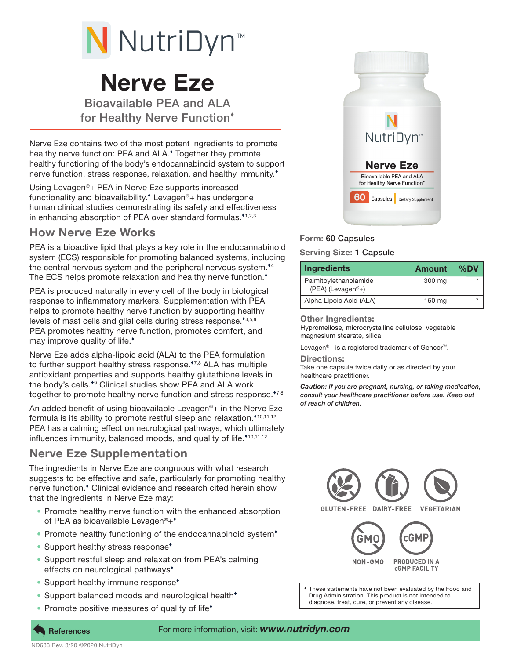

# Nerve Eze

Bioavailable PEA and ALA for Healthy Nerve Function

Nerve Eze contains two of the most potent ingredients to promote healthy nerve function: PEA and ALA. Together they promote healthy functioning of the body's endocannabinoid system to support nerve function, stress response, relaxation, and healthy immunity.

Using Levagen®+ PEA in Nerve Eze supports increased functionality and bioavailability. Levagen®+ has undergone human clinical studies demonstrating its safety and effectiveness in enhancing absorption of PEA over standard formulas.<sup> $*$ 1,2,3</sup>

## How Nerve Eze Works

PEA is a bioactive lipid that plays a key role in the endocannabinoid system (ECS) responsible for promoting balanced systems, including the central nervous system and the peripheral nervous system.<sup>\*4</sup> The ECS helps promote relaxation and healthy nerve function.

PEA is produced naturally in every cell of the body in biological response to inflammatory markers. Supplementation with PEA helps to promote healthy nerve function by supporting healthy levels of mast cells and glial cells during stress response. $*4,5,6$ PEA promotes healthy nerve function, promotes comfort, and may improve quality of life.

Nerve Eze adds alpha-lipoic acid (ALA) to the PEA formulation to further support healthy stress response. $17,8$  ALA has multiple antioxidant properties and supports healthy glutathione levels in the body's cells.<sup>\*</sup> Clinical studies show PEA and ALA work together to promote healthy nerve function and stress response.<sup>\*7,8</sup>

An added benefit of using bioavailable Levagen®+ in the Nerve Eze formula is its ability to promote restful sleep and relaxation.<sup> $*$ 10,11,12</sup> PEA has a calming effect on neurological pathways, which ultimately influences immunity, balanced moods, and quality of life.\*10,11,12

# Nerve Eze Supplementation

The ingredients in Nerve Eze are congruous with what research suggests to be effective and safe, particularly for promoting healthy nerve function. Clinical evidence and research cited herein show that the ingredients in Nerve Eze may:

- Promote healthy nerve function with the enhanced absorption of PEA as bioavailable Levagen<sup>®+\*</sup>
- Promote healthy functioning of the endocannabinoid system<sup>\*</sup>
- Support healthy stress response<sup>\*</sup>
- Support restful sleep and relaxation from PEA's calming effects on neurological pathways
- Support healthy immune response<sup>\*</sup>
- Support balanced moods and neurological health<sup>\*</sup>
- Promote positive measures of quality of life<sup>+</sup>



### Form: 60 Capsules

#### Serving Size: 1 Capsule

| <b>Ingredients</b>                                        | <b>Amount</b> | %DV     |
|-----------------------------------------------------------|---------------|---------|
| Palmitoylethanolamide<br>$(PEA)$ (Levagen <sup>®</sup> +) | 300 mg        | $\star$ |
| Alpha Lipoic Acid (ALA)                                   | 150 mg        |         |

Other Ingredients:

Hypromellose, microcrystalline cellulose, vegetable magnesium stearate, silica.

Levagen®+ is a registered trademark of Gencor™.

Directions:

Take one capsule twice daily or as directed by your healthcare practitioner.

*Caution: If you are pregnant, nursing, or taking medication, consult your healthcare practitioner before use. Keep out of reach of children.*



References For more information, visit: *www.nutridyn.com*